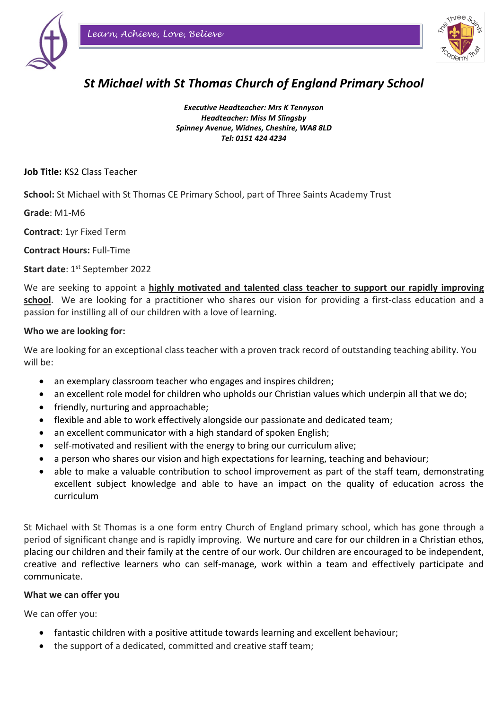



# *St Michael with St Thomas Church of England Primary School*

*Executive Headteacher: Mrs K Tennyson Headteacher: Miss M Slingsby Spinney Avenue, Widnes, Cheshire, WA8 8LD Tel: 0151 424 4234* 

**Job Title:** KS2 Class Teacher

**School:** St Michael with St Thomas CE Primary School, part of Three Saints Academy Trust

**Grade**: M1-M6

**Contract**: 1yr Fixed Term

**Contract Hours:** Full-Time

**Start date: 1st September 2022** 

We are seeking to appoint a **highly motivated and talented class teacher to support our rapidly improving school**. We are looking for a practitioner who shares our vision for providing a first-class education and a passion for instilling all of our children with a love of learning.

### **Who we are looking for:**

We are looking for an exceptional class teacher with a proven track record of outstanding teaching ability. You will be:

- an exemplary classroom teacher who engages and inspires children;
- an excellent role model for children who upholds our Christian values which underpin all that we do;
- friendly, nurturing and approachable;
- flexible and able to work effectively alongside our passionate and dedicated team;
- an excellent communicator with a high standard of spoken English;
- self-motivated and resilient with the energy to bring our curriculum alive;
- a person who shares our vision and high expectations for learning, teaching and behaviour;
- able to make a valuable contribution to school improvement as part of the staff team, demonstrating excellent subject knowledge and able to have an impact on the quality of education across the curriculum

St Michael with St Thomas is a one form entry Church of England primary school, which has gone through a period of significant change and is rapidly improving. We nurture and care for our children in a Christian ethos, placing our children and their family at the centre of our work. Our children are encouraged to be independent, creative and reflective learners who can self-manage, work within a team and effectively participate and communicate.

#### **What we can offer you**

We can offer you:

- fantastic children with a positive attitude towards learning and excellent behaviour;
- the support of a dedicated, committed and creative staff team;